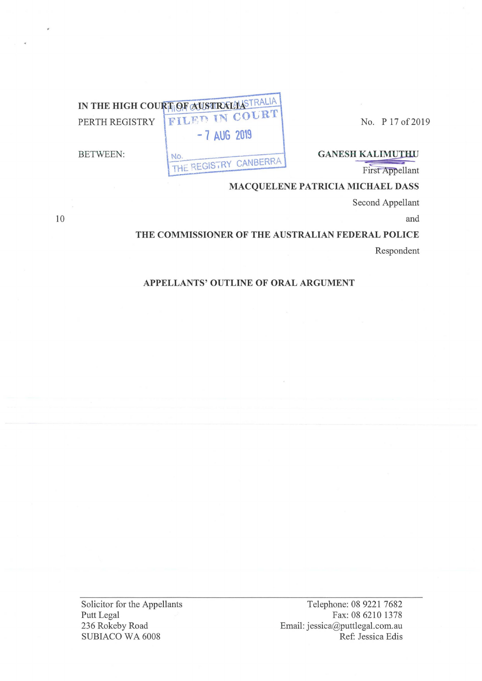No. P 17 of 2019

IN THE HIGH COURT OF AUSTRALIA  $-7$  AUG 2019

No.

**BETWEEN:** 

**GANESH KALIMUTHU** 

First Appellant

## MACQUELENE PATRICIA MICHAEL DASS

Second Appellant

and

# THE COMMISSIONER OF THE AUSTRALIAN FEDERAL POLICE Respondent

## APPELLANTS' OUTLINE OF ORAL ARGUMENT

THE REGISTRY CANBERRA

Solicitor for the Appellants Putt Legal 236 Rokeby Road SUBIACO WA 6008

Telephone: 08 9221 7682 Fax: 08 6210 1378 Email: jessica@puttlegal.com.au Ref: Jessica Edis

10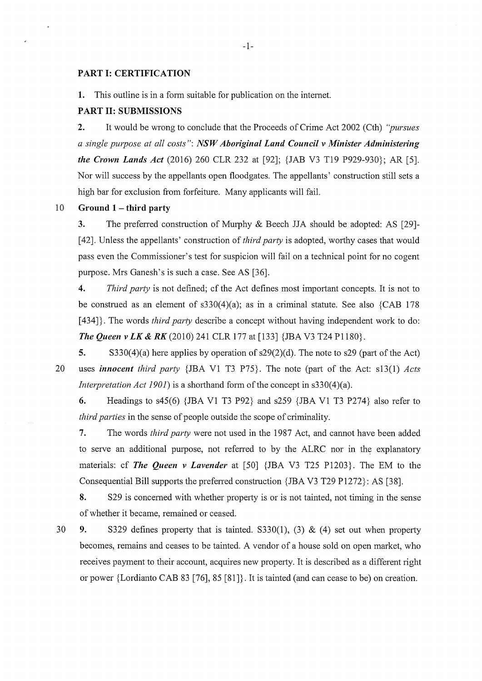#### **PART I: CERTIFICATION**

**1.** This outline is in a form suitable for publication on the internet.

#### **PART II: SUBMISSIONS**

**2.** It would be wrong to conclude that the Proceeds of Crime Act 2002 (Cth) *"pursues a single purpose at all costs": NSW Aboriginal Land Council v Minister Administering the Crown Lands Act* (2016) 260 CLR 232 at [92]; {JAB V3 T19 P929-930}; AR [5]. Nor will success by the appellants open floodgates. The appellants' construction still sets a high bar for exclusion from forfeiture. Many applicants will fail.

#### 10 **Ground 1 - third party**

**3.** The preferred construction of Murphy & Beech JJA should be adopted: AS [29]-[ 42]. Unless the appellants' construction of *third party* is adopted, worthy cases that would pass even the Commissioner's test for suspicion will fail on a technical point for no cogent purpose. Mrs Ganesh's is such a case. See AS [36].

**4.** *Third party* is not defined; cf the Act defines most imp01iant concepts. It is not to be construed as an element of  $s330(4)(a)$ ; as in a criminal statute. See also {CAB 178 [434]. The words *third party* describe a concept without having independent work to do: *The Queen v LK* **&** *RK* (2010) 241 CLR 177 at [133] {JBA V3 T24 Pll80}.

**5.** S330(4)(a) here applies by operation of s29(2)(d). The note to s29 (part of the Act) 20 uses *innocent third party* {JBA V1 T3 P75}. The note (part of the Act: s13(1) *Acts Interpretation Act 1901*) is a shorthand form of the concept in s330(4)(a).

**6.** Headings to s45(6) {JBA Vl T3 P92} and s259 {JBA Vl T3 P274} also refer to *third parties* in the sense of people outside the scope of criminality.

**7.** The words *third party* were not used in the 1987 Act, and cannot have been added to serve an additional purpose, not referred to by the ALRC nor in the explanatory materials: cf *The Queen v Lavender* at [50] {JBA V3 T25 P1203}. The EM to the Consequential Bill supports the preferred construction {JBA V3 T29 P1272}: AS [38].

**8.** S29 is concerned with whether property is or is not tainted, not timing in the sense of whether it became, remained or ceased.

30 **9.** S329 defines property that is tainted. S330(1), (3) & (4) set out when property becomes, remains and ceases to be tainted. A vendor of a house sold on open market, who receives payment to their account, acquires new property. It is described as a different right or power {Lordianto CAB 83 [76], 85 [81]}. It is tainted (and can cease to be) on creation.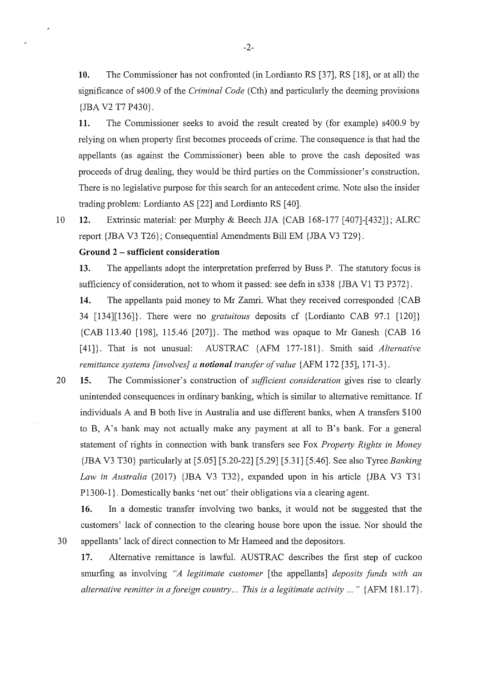**10.** The Commissioner has not confronted (in Lordianto RS [37], RS [18], or at all) the significance of s400.9 of the *Criminal Code* (Cth) and particularly the deeming provisions {JBA V2 T7 P430}.

**11.** The Commissioner seeks to avoid the result created by (for example) s400.9 by relying on when property first becomes proceeds of crime. The consequence is that had the appellants (as against the Commissioner) been able to prove the cash deposited was proceeds of drug dealing, they would be third parties on the Commissioner's construction. There is no legislative purpose for this search for an antecedent crime. Note also the insider trading problem: Lordianto AS [22] and Lordianto RS [ 40].

10 **12.** Extrinsic material: per Murphy & Beech JJA {CAB 168-177 [407]-[432]}; ALRC report {IBA V3 T26}; Consequential Amendments Bill EM {IBA V3 T29}.

#### **Ground 2** - **sufficient consideration**

 $\lambda$ 

**13.** The appellants adopt the interpretation preferred by Buss P. The statutory focus is sufficiency of consideration, not to whom it passed: see defn in  $s338 \{ JBA V1 T3 P372 \}$ .

**14.** The appellants paid money to Mr Zamri. What they received corresponded {CAB 34 [134][136]}. There were no *gratuitous* deposits cf {Lordianto CAB 97.1 [120]} {CAB 113.40 [198], 115.46 [207]}. The method was opaque to Mr Ganesh {CAB 16 [41]}. That is not unusual: AUSTRAC {AFM 177-181}. Smith said *Alternative remittance systems [involves} a notional transfer of value* {AFM 172 [35], 171-3}.

20 **15.** The Commissioner's construction of *sufficient consideration* gives rise to clearly unintended consequences in ordinary banking, which is similar to alternative remittance. If individuals A and B both live in Australia and use different banks, when A transfers \$100 to B, A's bank may not actually make any payment at all to B's bank. For a general statement of rights in connection with bank transfers see Fox *Property Rights in Money*  {JBA V3 T30} particularly at [5.05] [5.20-22] [5.29] [5.31] [5.46]. See also Tyree *Banking Law in Australia* (2017) {JBA V3 T32}, expanded upon in his article {IBA V3 T31 P1300-1}. Domestically banks 'net out' their obligations via a clearing agent.

**16.** In a domestic transfer involving two banks, it would not be suggested that the customers' lack of connection to the clearing house bore upon the issue. Nor should the 30 appellants' lack of direct connection to Mr Hameed and the depositors.

**17.** Alternative remittance is lawful. AUSTRAC describes the first step of cuckoo smurfing as involving *"A legitimate customer* [ the appellants] *deposits fimds with an alternative remitter in aforeign country ... This is a legitimate activity ... "* {AFM 181.17}.